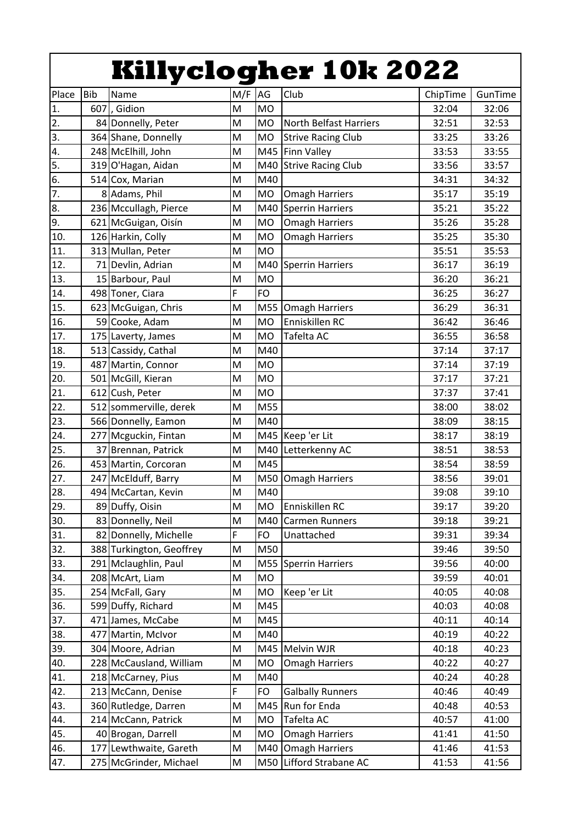|                  |            |                                             |                                                                                                            |           | <b>Killyclogher 10k 2022</b>  |          |                |
|------------------|------------|---------------------------------------------|------------------------------------------------------------------------------------------------------------|-----------|-------------------------------|----------|----------------|
| Place            | <b>Bib</b> | Name                                        | M/F                                                                                                        | AG        | Club                          | ChipTime | GunTime        |
| 1.               |            | 607, Gidion                                 | M                                                                                                          | <b>MO</b> |                               | 32:04    | 32:06          |
| $\overline{2}$ . |            | 84 Donnelly, Peter                          | M                                                                                                          | <b>MO</b> | <b>North Belfast Harriers</b> | 32:51    | 32:53          |
| 3.               |            | 364 Shane, Donnelly                         | M                                                                                                          | <b>MO</b> | <b>Strive Racing Club</b>     | 33:25    | 33:26          |
| $\overline{4}$ . |            | 248 McElhill, John                          | M                                                                                                          | M45       | Finn Valley                   | 33:53    | 33:55          |
| 5.               |            | 319 O'Hagan, Aidan                          | M                                                                                                          | M40       | <b>Strive Racing Club</b>     | 33:56    | 33:57          |
| 6.               |            | 514 Cox, Marian                             | M                                                                                                          | M40       |                               | 34:31    | 34:32          |
| $\overline{7}$ . |            | 8 Adams, Phil                               | M                                                                                                          | <b>MO</b> | <b>Omagh Harriers</b>         | 35:17    | 35:19          |
| 8.               |            | 236 Mccullagh, Pierce                       | M                                                                                                          | M40       | <b>Sperrin Harriers</b>       | 35:21    | 35:22          |
| 9.               |            | 621 McGuigan, Oisín                         | M                                                                                                          | <b>MO</b> | <b>Omagh Harriers</b>         | 35:26    | 35:28          |
| 10.              |            | 126 Harkin, Colly                           | M                                                                                                          | <b>MO</b> | <b>Omagh Harriers</b>         | 35:25    | 35:30          |
| 11.              |            | 313 Mullan, Peter                           | M                                                                                                          | <b>MO</b> |                               | 35:51    | 35:53          |
| 12.              |            | 71 Devlin, Adrian                           | M                                                                                                          | M40       | <b>Sperrin Harriers</b>       | 36:17    | 36:19          |
| 13.              |            | 15 Barbour, Paul                            | M                                                                                                          | <b>MO</b> |                               | 36:20    | 36:21          |
| 14.              |            | 498 Toner, Ciara                            | F                                                                                                          | <b>FO</b> |                               | 36:25    | 36:27          |
| 15.              |            | 623 McGuigan, Chris                         | M                                                                                                          | M55       | <b>Omagh Harriers</b>         | 36:29    | 36:31          |
| 16.              |            | 59 Cooke, Adam                              | M                                                                                                          | <b>MO</b> | Enniskillen RC                | 36:42    | 36:46          |
| 17.              |            | 175 Laverty, James                          | M                                                                                                          | <b>MO</b> | Tafelta AC                    | 36:55    | 36:58          |
| 18.              |            | 513 Cassidy, Cathal                         | M                                                                                                          | M40       |                               | 37:14    | 37:17          |
| 19.              |            | 487 Martin, Connor                          | M                                                                                                          | <b>MO</b> |                               | 37:14    | 37:19          |
| 20.              |            | 501 McGill, Kieran                          | M                                                                                                          | <b>MO</b> |                               | 37:17    | 37:21          |
| 21.              |            | 612 Cush, Peter                             | M                                                                                                          | <b>MO</b> |                               | 37:37    | 37:41          |
| 22.              |            | 512 sommerville, derek                      | M                                                                                                          | M55       |                               | 38:00    | 38:02          |
| 23.              |            | 566 Donnelly, Eamon                         | M                                                                                                          | M40       |                               | 38:09    | 38:15          |
| 24.              |            | 277 Mcguckin, Fintan                        | M                                                                                                          | M45       | Keep 'er Lit                  | 38:17    | 38:19          |
| 25.              |            | 37 Brennan, Patrick                         | M                                                                                                          | M40       | Letterkenny AC                | 38:51    | 38:53          |
| 26.              |            | 453 Martin, Corcoran                        | M                                                                                                          | M45       |                               | 38:54    | 38:59          |
| 27.              |            | 247 McElduff, Barry                         | M                                                                                                          | M50       | Omagh Harriers                | 38:56    | 39:01          |
| 28.              |            | 494 McCartan, Kevin                         | $\mathsf{M}% _{T}=\mathsf{M}_{T}\!\left( a,b\right) ,\ \mathsf{M}_{T}=\mathsf{M}_{T}\!\left( a,b\right) ,$ | M40       |                               | 39:08    | 39:10          |
| 29.              |            | 89 Duffy, Oisin                             | M                                                                                                          | <b>MO</b> | Enniskillen RC                | 39:17    | 39:20          |
| 30.              |            | 83 Donnelly, Neil                           | M                                                                                                          | M40       | Carmen Runners                | 39:18    | 39:21          |
| 31.              |            | 82 Donnelly, Michelle                       | F                                                                                                          | FO        | Unattached                    | 39:31    | 39:34          |
| 32.              |            | 388 Turkington, Geoffrey                    | M                                                                                                          | M50       |                               | 39:46    | 39:50          |
| 33.              |            | 291 Mclaughlin, Paul                        | M                                                                                                          | M55       | <b>Sperrin Harriers</b>       | 39:56    | 40:00          |
| 34.              |            | 208 McArt, Liam                             | M                                                                                                          | <b>MO</b> |                               | 39:59    | 40:01          |
| 35.              |            | 254 McFall, Gary                            | M                                                                                                          | MO        | Keep 'er Lit                  | 40:05    | 40:08          |
| 36.              |            | 599 Duffy, Richard                          | M                                                                                                          | M45       |                               | 40:03    | 40:08          |
| 37.              |            | 471 James, McCabe                           | M                                                                                                          | M45       |                               | 40:11    | 40:14          |
| 38.              |            | 477 Martin, McIvor                          | M                                                                                                          | M40       |                               | 40:19    | 40:22          |
| 39.              |            | 304 Moore, Adrian                           | M                                                                                                          | M45       | Melvin WJR                    | 40:18    | 40:23          |
| 40.              |            | 228 McCausland, William                     | M                                                                                                          | <b>MO</b> |                               | 40:22    | 40:27          |
| 41.              |            | 218 McCarney, Pius                          | M                                                                                                          | M40       | <b>Omagh Harriers</b>         | 40:24    | 40:28          |
| 42.              |            | 213 McCann, Denise                          | F                                                                                                          | FO        | <b>Galbally Runners</b>       | 40:46    | 40:49          |
| 43.              |            |                                             | M                                                                                                          | M45       | Run for Enda                  |          |                |
|                  |            | 360 Rutledge, Darren<br>214 McCann, Patrick | M                                                                                                          | <b>MO</b> | Tafelta AC                    | 40:48    | 40:53          |
| 44.              |            |                                             |                                                                                                            |           |                               | 40:57    | 41:00          |
| 45.              |            | 40 Brogan, Darrell                          | M<br>M                                                                                                     | MO        | <b>Omagh Harriers</b>         | 41:41    | 41:50<br>41:53 |
| 46.              |            | 177 Lewthwaite, Gareth                      |                                                                                                            | M40       | <b>Omagh Harriers</b>         | 41:46    |                |
| 47.              |            | 275 McGrinder, Michael                      | M                                                                                                          | M50       | Lifford Strabane AC           | 41:53    | 41:56          |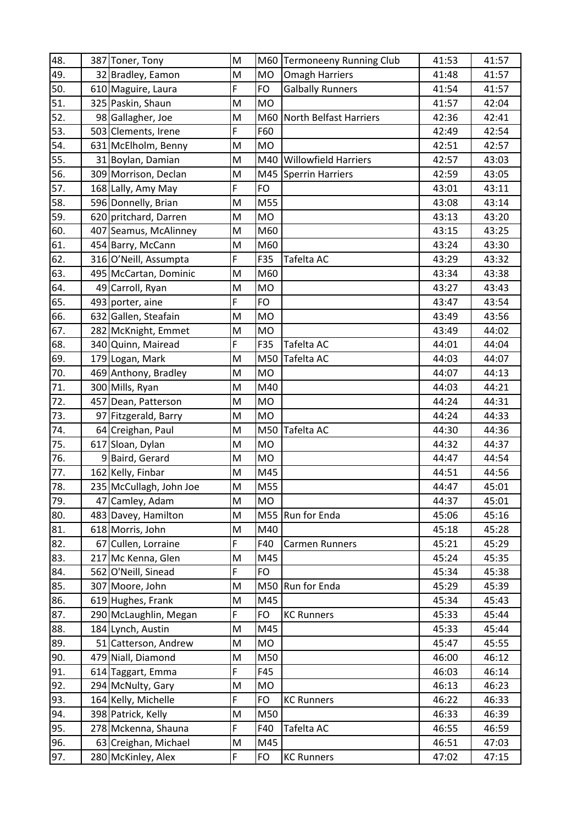| 48. |    | 387 Toner, Tony         | M |           | M60 Termoneeny Running Club | 41:53 | 41:57 |
|-----|----|-------------------------|---|-----------|-----------------------------|-------|-------|
| 49. |    | 32 Bradley, Eamon       | M | <b>MO</b> | <b>Omagh Harriers</b>       | 41:48 | 41:57 |
| 50. |    | 610 Maguire, Laura      | F | <b>FO</b> | <b>Galbally Runners</b>     | 41:54 | 41:57 |
| 51. |    | 325 Paskin, Shaun       | M | <b>MO</b> |                             | 41:57 | 42:04 |
| 52. |    | 98 Gallagher, Joe       | M | M60       | North Belfast Harriers      | 42:36 | 42:41 |
| 53. |    | 503 Clements, Irene     | F | F60       |                             | 42:49 | 42:54 |
| 54. |    | 631 McElholm, Benny     | M | <b>MO</b> |                             | 42:51 | 42:57 |
| 55. |    | 31 Boylan, Damian       | M | M40       | <b>Willowfield Harriers</b> | 42:57 | 43:03 |
| 56. |    | 309 Morrison, Declan    | M |           | M45 Sperrin Harriers        | 42:59 | 43:05 |
| 57. |    | 168 Lally, Amy May      | F | FO        |                             | 43:01 | 43:11 |
| 58. |    | 596 Donnelly, Brian     | M | M55       |                             | 43:08 | 43:14 |
| 59. |    | 620 pritchard, Darren   | M | <b>MO</b> |                             | 43:13 | 43:20 |
| 60. |    | 407 Seamus, McAlinney   | M | M60       |                             | 43:15 | 43:25 |
| 61. |    | 454 Barry, McCann       | M | M60       |                             | 43:24 | 43:30 |
| 62. |    | 316 O'Neill, Assumpta   | F | F35       | Tafelta AC                  | 43:29 | 43:32 |
| 63. |    | 495 McCartan, Dominic   | M | M60       |                             | 43:34 | 43:38 |
| 64. |    | 49 Carroll, Ryan        | M | <b>MO</b> |                             | 43:27 | 43:43 |
| 65. |    | 493 porter, aine        | F | <b>FO</b> |                             | 43:47 | 43:54 |
| 66. |    | 632 Gallen, Steafain    | M | <b>MO</b> |                             | 43:49 | 43:56 |
| 67. |    | 282 McKnight, Emmet     | M | <b>MO</b> |                             | 43:49 | 44:02 |
| 68. |    | 340 Quinn, Mairead      | F | F35       | Tafelta AC                  | 44:01 | 44:04 |
| 69. |    | 179 Logan, Mark         | M | M50       | Tafelta AC                  | 44:03 | 44:07 |
| 70. |    | 469 Anthony, Bradley    | M | <b>MO</b> |                             | 44:07 | 44:13 |
| 71. |    | 300 Mills, Ryan         | M | M40       |                             | 44:03 | 44:21 |
| 72. |    | 457 Dean, Patterson     | M | <b>MO</b> |                             | 44:24 | 44:31 |
| 73. |    | 97 Fitzgerald, Barry    | M | <b>MO</b> |                             | 44:24 | 44:33 |
| 74. |    | 64 Creighan, Paul       | M | M50       | Tafelta AC                  | 44:30 | 44:36 |
| 75. |    | 617 Sloan, Dylan        | M | <b>MO</b> |                             | 44:32 | 44:37 |
| 76. |    | 9 Baird, Gerard         | M | MO        |                             | 44:47 | 44:54 |
| 77. |    | 162 Kelly, Finbar       | M | M45       |                             | 44:51 | 44:56 |
| 78. |    | 235 McCullagh, John Joe | M | M55       |                             | 44:47 | 45:01 |
| 79. |    | 47 Camley, Adam         | M | <b>MO</b> |                             | 44:37 | 45:01 |
| 80. |    | 483 Davey, Hamilton     | M | M55       | Run for Enda                | 45:06 | 45:16 |
| 81. |    | 618 Morris, John        | M | M40       |                             | 45:18 | 45:28 |
| 82. | 67 | Cullen, Lorraine        | F | F40       | <b>Carmen Runners</b>       | 45:21 | 45:29 |
| 83. |    | 217 Mc Kenna, Glen      | M | M45       |                             | 45:24 | 45:35 |
| 84. |    | 562 O'Neill, Sinead     | F | <b>FO</b> |                             | 45:34 | 45:38 |
| 85. |    | 307 Moore, John         | M | M50       | Run for Enda                | 45:29 | 45:39 |
| 86. |    | 619 Hughes, Frank       | M | M45       |                             | 45:34 | 45:43 |
| 87. |    | 290 McLaughlin, Megan   | F | <b>FO</b> | <b>KC Runners</b>           | 45:33 | 45:44 |
| 88. |    | 184 Lynch, Austin       | M | M45       |                             | 45:33 | 45:44 |
| 89. |    | 51 Catterson, Andrew    | M | MO        |                             | 45:47 | 45:55 |
| 90. |    | 479 Niall, Diamond      | M | M50       |                             | 46:00 | 46:12 |
| 91. |    | 614 Taggart, Emma       | F | F45       |                             | 46:03 | 46:14 |
| 92. |    | 294 McNulty, Gary       | M | <b>MO</b> |                             | 46:13 | 46:23 |
| 93. |    | 164 Kelly, Michelle     | F | <b>FO</b> | <b>KC Runners</b>           | 46:22 | 46:33 |
| 94. |    | 398 Patrick, Kelly      | M | M50       |                             | 46:33 | 46:39 |
| 95. |    | 278 Mckenna, Shauna     | F | F40       | Tafelta AC                  | 46:55 | 46:59 |
| 96. |    | 63 Creighan, Michael    | M | M45       |                             | 46:51 | 47:03 |
| 97. |    | 280 McKinley, Alex      | F | FO        | <b>KC Runners</b>           | 47:02 | 47:15 |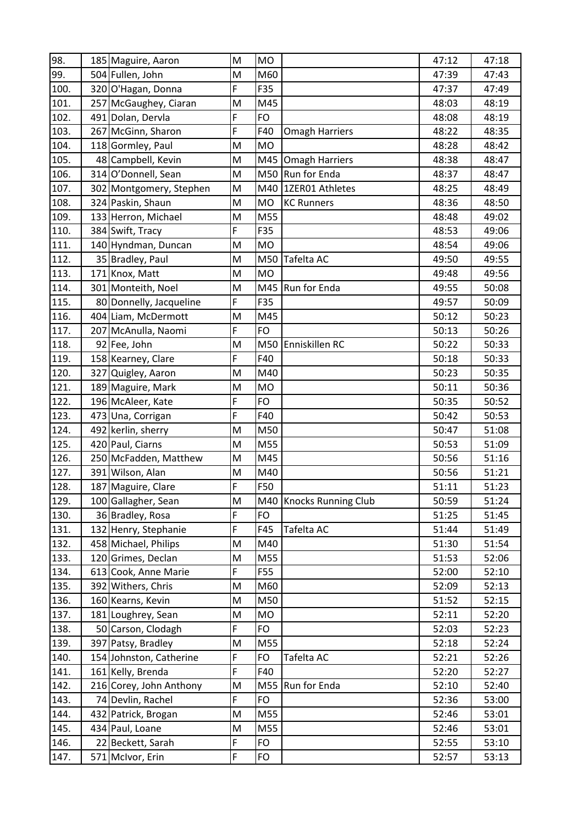| 98.  | 185 Maguire, Aaron      | M | <b>MO</b> |                         | 47:12 | 47:18 |
|------|-------------------------|---|-----------|-------------------------|-------|-------|
| 99.  | 504 Fullen, John        | M | M60       |                         | 47:39 | 47:43 |
| 100. | 320 O'Hagan, Donna      | F | F35       |                         | 47:37 | 47:49 |
| 101. | 257 McGaughey, Ciaran   | M | M45       |                         | 48:03 | 48:19 |
| 102. | 491 Dolan, Dervla       | F | <b>FO</b> |                         | 48:08 | 48:19 |
| 103. | 267 McGinn, Sharon      | F | F40       | <b>Omagh Harriers</b>   | 48:22 | 48:35 |
| 104. | 118 Gormley, Paul       | M | <b>MO</b> |                         | 48:28 | 48:42 |
| 105. | 48 Campbell, Kevin      | M | M45       | <b>Omagh Harriers</b>   | 48:38 | 48:47 |
| 106. | 314 O'Donnell, Sean     | M | M50       | Run for Enda            | 48:37 | 48:47 |
| 107. | 302 Montgomery, Stephen | M | M40       | 1ZER01 Athletes         | 48:25 | 48:49 |
| 108. | 324 Paskin, Shaun       | M | <b>MO</b> | <b>KC Runners</b>       | 48:36 | 48:50 |
| 109. | 133 Herron, Michael     | M | M55       |                         | 48:48 | 49:02 |
| 110. | 384 Swift, Tracy        | F | F35       |                         | 48:53 | 49:06 |
| 111. | 140 Hyndman, Duncan     | M | <b>MO</b> |                         | 48:54 | 49:06 |
| 112. | 35 Bradley, Paul        | M | M50       | Tafelta AC              | 49:50 | 49:55 |
| 113. | 171 Knox, Matt          | M | <b>MO</b> |                         | 49:48 | 49:56 |
| 114. | 301 Monteith, Noel      | M | M45       | Run for Enda            | 49:55 | 50:08 |
| 115. | 80 Donnelly, Jacqueline | F | F35       |                         | 49:57 | 50:09 |
| 116. | 404 Liam, McDermott     | M | M45       |                         | 50:12 | 50:23 |
| 117. | 207 McAnulla, Naomi     | F | <b>FO</b> |                         | 50:13 | 50:26 |
| 118. | 92 Fee, John            | M | M50       | Enniskillen RC          | 50:22 | 50:33 |
| 119. | 158 Kearney, Clare      | F | F40       |                         | 50:18 | 50:33 |
| 120. | 327 Quigley, Aaron      | M | M40       |                         | 50:23 | 50:35 |
| 121. | 189 Maguire, Mark       | M | <b>MO</b> |                         | 50:11 | 50:36 |
| 122. | 196 McAleer, Kate       | F | <b>FO</b> |                         | 50:35 | 50:52 |
| 123. | 473 Una, Corrigan       | F | F40       |                         | 50:42 | 50:53 |
| 124. | 492 kerlin, sherry      | M | M50       |                         | 50:47 | 51:08 |
| 125. | 420 Paul, Ciarns        | M | M55       |                         | 50:53 | 51:09 |
| 126. | 250 McFadden, Matthew   | M | M45       |                         | 50:56 | 51:16 |
| 127. | 391 Wilson, Alan        | M | M40       |                         | 50:56 | 51:21 |
| 128. | 187 Maguire, Clare      | F | F50       |                         | 51:11 | 51:23 |
| 129. | 100 Gallagher, Sean     | M |           | M40 Knocks Running Club | 50:59 | 51:24 |
| 130. | 36 Bradley, Rosa        | F | <b>FO</b> |                         | 51:25 | 51:45 |
| 131. | 132 Henry, Stephanie    | F | F45       | Tafelta AC              | 51:44 | 51:49 |
| 132. | 458 Michael, Philips    | M | M40       |                         | 51:30 | 51:54 |
| 133. | 120 Grimes, Declan      | M | M55       |                         | 51:53 | 52:06 |
| 134. | 613 Cook, Anne Marie    | F | F55       |                         | 52:00 | 52:10 |
| 135. | 392 Withers, Chris      | M | M60       |                         | 52:09 | 52:13 |
| 136. | 160 Kearns, Kevin       | M | M50       |                         | 51:52 | 52:15 |
| 137. | 181 Loughrey, Sean      | M | <b>MO</b> |                         | 52:11 | 52:20 |
| 138. | 50 Carson, Clodagh      | F | <b>FO</b> |                         | 52:03 | 52:23 |
| 139. | 397 Patsy, Bradley      | M | M55       |                         | 52:18 | 52:24 |
| 140. | 154 Johnston, Catherine | F | <b>FO</b> | Tafelta AC              | 52:21 | 52:26 |
| 141. | 161 Kelly, Brenda       | F | F40       |                         | 52:20 | 52:27 |
| 142. | 216 Corey, John Anthony | M | M55       | Run for Enda            | 52:10 | 52:40 |
| 143. | 74 Devlin, Rachel       | F | <b>FO</b> |                         | 52:36 | 53:00 |
| 144. | 432 Patrick, Brogan     | M | M55       |                         | 52:46 | 53:01 |
| 145. | 434 Paul, Loane         | M | M55       |                         | 52:46 | 53:01 |
| 146. | 22 Beckett, Sarah       | F | <b>FO</b> |                         | 52:55 | 53:10 |
| 147. | 571 McIvor, Erin        | F | <b>FO</b> |                         | 52:57 | 53:13 |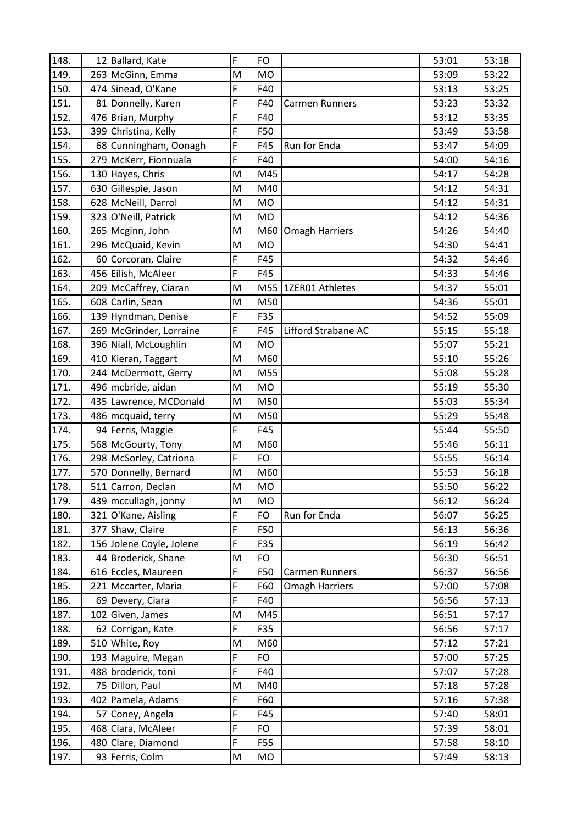| 148. | 12 Ballard, Kate         | F | <b>FO</b> |                       | 53:01 | 53:18 |
|------|--------------------------|---|-----------|-----------------------|-------|-------|
| 149. | 263 McGinn, Emma         | M | <b>MO</b> |                       | 53:09 | 53:22 |
| 150. | 474 Sinead, O'Kane       | F | F40       |                       | 53:13 | 53:25 |
| 151. | 81 Donnelly, Karen       | F | F40       | Carmen Runners        | 53:23 | 53:32 |
| 152. | 476 Brian, Murphy        | F | F40       |                       | 53:12 | 53:35 |
| 153. | 399 Christina, Kelly     | F | F50       |                       | 53:49 | 53:58 |
| 154. | 68 Cunningham, Oonagh    | F | F45       | Run for Enda          | 53:47 | 54:09 |
| 155. | 279 McKerr, Fionnuala    | F | F40       |                       | 54:00 | 54:16 |
| 156. | 130 Hayes, Chris         | M | M45       |                       | 54:17 | 54:28 |
| 157. | 630 Gillespie, Jason     | M | M40       |                       | 54:12 | 54:31 |
| 158. | 628 McNeill, Darrol      | M | <b>MO</b> |                       | 54:12 | 54:31 |
| 159. | 323 O'Neill, Patrick     | M | <b>MO</b> |                       | 54:12 | 54:36 |
| 160. | 265 Mcginn, John         | M | M60       | <b>Omagh Harriers</b> | 54:26 | 54:40 |
| 161. | 296 McQuaid, Kevin       | M | <b>MO</b> |                       | 54:30 | 54:41 |
| 162. | 60 Corcoran, Claire      | F | F45       |                       | 54:32 | 54:46 |
| 163. | 456 Eilish, McAleer      | F | F45       |                       | 54:33 | 54:46 |
| 164. | 209 McCaffrey, Ciaran    | M | M55       | 1ZER01 Athletes       | 54:37 | 55:01 |
| 165. | 608 Carlin, Sean         | M | M50       |                       | 54:36 | 55:01 |
| 166. | 139 Hyndman, Denise      | F | F35       |                       | 54:52 | 55:09 |
| 167. | 269 McGrinder, Lorraine  | F | F45       | Lifford Strabane AC   | 55:15 | 55:18 |
| 168. | 396 Niall, McLoughlin    | M | <b>MO</b> |                       | 55:07 | 55:21 |
| 169. | 410 Kieran, Taggart      | M | M60       |                       | 55:10 | 55:26 |
| 170. | 244 McDermott, Gerry     | M | M55       |                       | 55:08 | 55:28 |
| 171. | 496 mcbride, aidan       | M | <b>MO</b> |                       | 55:19 | 55:30 |
| 172. | 435 Lawrence, MCDonald   | M | M50       |                       | 55:03 | 55:34 |
| 173. | 486 mcquaid, terry       | M | M50       |                       | 55:29 | 55:48 |
| 174. | 94 Ferris, Maggie        | F | F45       |                       | 55:44 | 55:50 |
| 175. | 568 McGourty, Tony       | M | M60       |                       | 55:46 | 56:11 |
| 176. | 298 McSorley, Catriona   | F | FO        |                       | 55:55 | 56:14 |
| 177. | 570 Donnelly, Bernard    | M | M60       |                       | 55:53 | 56:18 |
| 178. | 511 Carron, Declan       | M | <b>MO</b> |                       | 55:50 | 56:22 |
| 179. | 439 mccullagh, jonny     | M | MO        |                       | 56:12 | 56:24 |
| 180. | 321 O'Kane, Aisling      | F | FO        | Run for Enda          | 56:07 | 56:25 |
| 181. | 377 Shaw, Claire         | F | F50       |                       | 56:13 | 56:36 |
| 182. | 156 Jolene Coyle, Jolene | F | F35       |                       | 56:19 | 56:42 |
| 183. | 44 Broderick, Shane      | M | FO        |                       | 56:30 | 56:51 |
| 184. | 616 Eccles, Maureen      | F | F50       | Carmen Runners        | 56:37 | 56:56 |
| 185. | 221 Mccarter, Maria      | F | F60       | <b>Omagh Harriers</b> | 57:00 | 57:08 |
| 186. | 69 Devery, Ciara         | F | F40       |                       | 56:56 | 57:13 |
| 187. | 102 Given, James         | M | M45       |                       | 56:51 | 57:17 |
| 188. | 62 Corrigan, Kate        | F | F35       |                       | 56:56 | 57:17 |
| 189. | 510 White, Roy           | M | M60       |                       | 57:12 | 57:21 |
| 190. | 193 Maguire, Megan       | F | FO        |                       | 57:00 | 57:25 |
| 191. | 488 broderick, toni      | F | F40       |                       | 57:07 | 57:28 |
| 192. | 75 Dillon, Paul          | M | M40       |                       | 57:18 | 57:28 |
| 193. | 402 Pamela, Adams        | F | F60       |                       | 57:16 | 57:38 |
| 194. | 57 Coney, Angela         | F | F45       |                       | 57:40 | 58:01 |
| 195. | 468 Ciara, McAleer       | F | FO        |                       | 57:39 | 58:01 |
| 196. | 480 Clare, Diamond       | F | F55       |                       | 57:58 | 58:10 |
| 197. | 93 Ferris, Colm          | M | MO        |                       | 57:49 | 58:13 |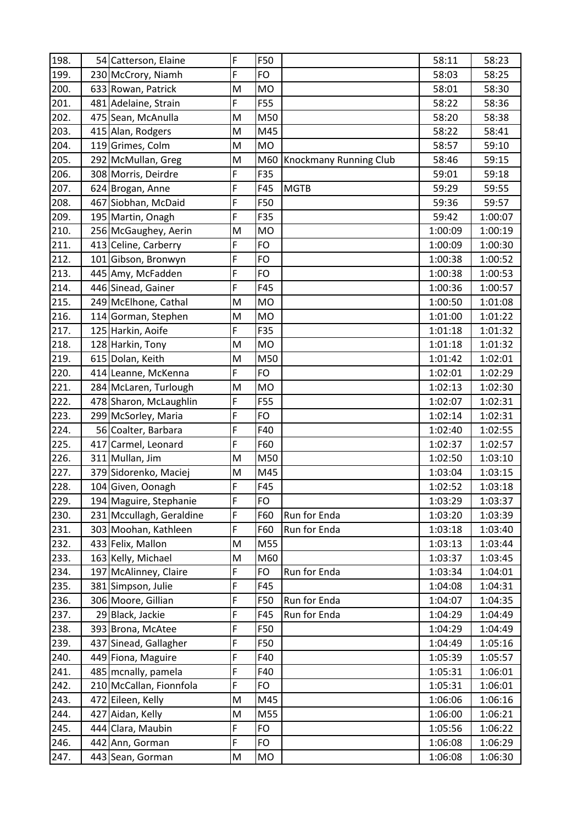| 198. | 54 Catterson, Elaine     | F | F50       |                        | 58:11   | 58:23   |
|------|--------------------------|---|-----------|------------------------|---------|---------|
| 199. | 230 McCrory, Niamh       | F | <b>FO</b> |                        | 58:03   | 58:25   |
| 200. | 633 Rowan, Patrick       | M | <b>MO</b> |                        | 58:01   | 58:30   |
| 201. | 481 Adelaine, Strain     | F | F55       |                        | 58:22   | 58:36   |
| 202. | 475 Sean, McAnulla       | M | M50       |                        | 58:20   | 58:38   |
| 203. | 415 Alan, Rodgers        | M | M45       |                        | 58:22   | 58:41   |
| 204. | 119 Grimes, Colm         | M | <b>MO</b> |                        | 58:57   | 59:10   |
| 205. | 292 McMullan, Greg       | M | M60       | Knockmany Running Club | 58:46   | 59:15   |
| 206. | 308 Morris, Deirdre      | F | F35       |                        | 59:01   | 59:18   |
| 207. | 624 Brogan, Anne         | F | F45       | <b>MGTB</b>            | 59:29   | 59:55   |
| 208. | 467 Siobhan, McDaid      | F | F50       |                        | 59:36   | 59:57   |
| 209. | 195 Martin, Onagh        | F | F35       |                        | 59:42   | 1:00:07 |
| 210. | 256 McGaughey, Aerin     | M | <b>MO</b> |                        | 1:00:09 | 1:00:19 |
| 211. | 413 Celine, Carberry     | F | <b>FO</b> |                        | 1:00:09 | 1:00:30 |
| 212. | 101 Gibson, Bronwyn      | F | <b>FO</b> |                        | 1:00:38 | 1:00:52 |
| 213. | 445 Amy, McFadden        | F | <b>FO</b> |                        | 1:00:38 | 1:00:53 |
| 214. | 446 Sinead, Gainer       | F | F45       |                        | 1:00:36 | 1:00:57 |
| 215. | 249 McElhone, Cathal     | M | <b>MO</b> |                        | 1:00:50 | 1:01:08 |
| 216. | 114 Gorman, Stephen      | M | <b>MO</b> |                        | 1:01:00 | 1:01:22 |
| 217. | 125 Harkin, Aoife        | F | F35       |                        | 1:01:18 | 1:01:32 |
| 218. | 128 Harkin, Tony         | M | <b>MO</b> |                        | 1:01:18 | 1:01:32 |
| 219. | 615 Dolan, Keith         | M | M50       |                        | 1:01:42 | 1:02:01 |
| 220. | 414 Leanne, McKenna      | F | <b>FO</b> |                        | 1:02:01 | 1:02:29 |
| 221. | 284 McLaren, Turlough    | M | <b>MO</b> |                        | 1:02:13 | 1:02:30 |
| 222. | 478 Sharon, McLaughlin   | F | F55       |                        | 1:02:07 | 1:02:31 |
| 223. | 299 McSorley, Maria      | F | FO        |                        | 1:02:14 | 1:02:31 |
| 224. | 56 Coalter, Barbara      | F | F40       |                        | 1:02:40 | 1:02:55 |
| 225. | 417 Carmel, Leonard      | F | F60       |                        | 1:02:37 | 1:02:57 |
| 226. | 311 Mullan, Jim          | M | M50       |                        | 1:02:50 | 1:03:10 |
| 227. | 379 Sidorenko, Maciej    | M | M45       |                        | 1:03:04 | 1:03:15 |
| 228. | 104 Given, Oonagh        | F | F45       |                        | 1:02:52 | 1:03:18 |
| 229. | 194 Maguire, Stephanie   | F | <b>FO</b> |                        | 1:03:29 | 1:03:37 |
| 230. | 231 Mccullagh, Geraldine | F | F60       | Run for Enda           | 1:03:20 | 1:03:39 |
| 231. | 303 Moohan, Kathleen     | F | F60       | Run for Enda           | 1:03:18 | 1:03:40 |
| 232. | 433 Felix, Mallon        | M | M55       |                        | 1:03:13 | 1:03:44 |
| 233. | 163 Kelly, Michael       | M | M60       |                        | 1:03:37 | 1:03:45 |
| 234. | 197 McAlinney, Claire    | F | <b>FO</b> | Run for Enda           | 1:03:34 | 1:04:01 |
| 235. | 381 Simpson, Julie       | F | F45       |                        | 1:04:08 | 1:04:31 |
| 236. | 306 Moore, Gillian       | F | F50       | Run for Enda           | 1:04:07 | 1:04:35 |
| 237. | 29 Black, Jackie         | F | F45       | Run for Enda           | 1:04:29 | 1:04:49 |
| 238. | 393 Brona, McAtee        | F | F50       |                        | 1:04:29 | 1:04:49 |
| 239. | 437 Sinead, Gallagher    | F | F50       |                        | 1:04:49 | 1:05:16 |
| 240. | 449 Fiona, Maguire       | F | F40       |                        | 1:05:39 | 1:05:57 |
| 241. | 485 mcnally, pamela      | F | F40       |                        | 1:05:31 | 1:06:01 |
| 242. | 210 McCallan, Fionnfola  | F | FO        |                        | 1:05:31 | 1:06:01 |
| 243. | 472 Eileen, Kelly        | M | M45       |                        | 1:06:06 | 1:06:16 |
| 244. | 427 Aidan, Kelly         | M | M55       |                        | 1:06:00 | 1:06:21 |
| 245. | 444 Clara, Maubin        | F | <b>FO</b> |                        | 1:05:56 | 1:06:22 |
| 246. | 442 Ann, Gorman          | F | <b>FO</b> |                        | 1:06:08 | 1:06:29 |
| 247. | 443 Sean, Gorman         | M | <b>MO</b> |                        | 1:06:08 | 1:06:30 |